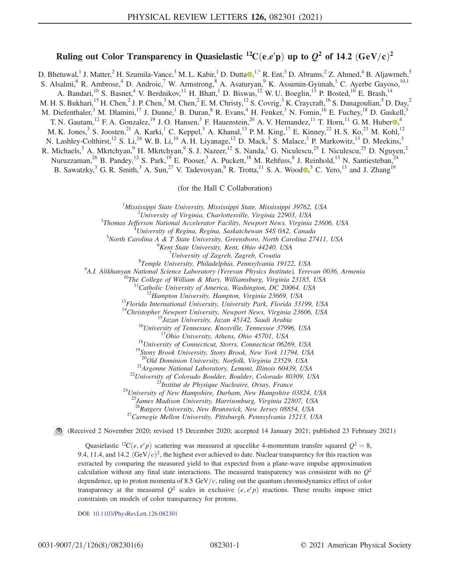## Ruling out Color Transparency in Quasielastic <sup>12</sup>C(e,e'p) up to  $Q^2$  of 14.2 (GeV/c)<sup>2</sup>

<span id="page-0-0"></span>D. Bhetuwal,<sup>1</sup> J. Matter,<sup>2</sup> H. Szumila-Vance,<sup>3</sup> M. L. Kabir,<sup>1</sup> D. Dutta [,](https://orcid.org/0000-0002-7103-2849)<sup>1[,\\*](#page-4-0)</sup> R. Ent,<sup>3</sup> D. Abrams,<sup>2</sup> Z. Ahmed,<sup>4</sup> B. Aljawrneh,<sup>5</sup> S. Alsalmi,<sup>6</sup> R. Ambrose,<sup>4</sup> D. Androic,<sup>7</sup> W. Armstrong,<sup>8</sup> A. Asaturyan,<sup>9</sup> K. Assumin-Gyimah,<sup>1</sup> C. Ayerbe Gayoso,<sup>10,1</sup> A. Bandari,<sup>10</sup> S. Basnet,<sup>4</sup> V. Berdnikov,<sup>11</sup> H. Bhatt,<sup>1</sup> D. Biswas,<sup>12</sup> W. U. Boeglin,<sup>13</sup> P. Bosted,<sup>10</sup> E. Brash,<sup>14</sup> M. H. S. Bukhari,  $^{15}$  H. Chen,  $^2$  J. P. Chen,  $^3$  M. Chen,  $^2$  E. M. Christy,  $^{12}$  S. Covrig,  $^3$  K. Craycraft,  $^{16}$  S. Danagoulian,  $^5$  D. Day,  $^2$ M. Diefenthaler,<sup>3</sup> M. Dlamini,<sup>17</sup> J. Dunne,<sup>1</sup> B. Duran,<sup>8</sup> R. Evans,<sup>4</sup> H. Fenker,<sup>3</sup> N. Fomin,<sup>16</sup> E. Fuchey,<sup>18</sup> D. Gaskell,<sup>3</sup> T. N. Gautam, <sup>12</sup> F. A. Gonzalez, <sup>19</sup> J. O. Hansen, <sup>3</sup> F. Hauenstein, <sup>20</sup> A. V. Hernandez, <sup>11</sup> T. Horn, <sup>11</sup> G. M. Huber  $\Phi$ , <sup>4</sup> M. K. Jones,<sup>3</sup> S. Joosten,<sup>21</sup> A. Karki,<sup>1</sup> C. Keppel,<sup>3</sup> A. Khanal,<sup>13</sup> P. M. King,<sup>17</sup> E. Kinney,<sup>22</sup> H. S. Ko,<sup>23</sup> M. Kohl,<sup>12</sup> N. Lashley-Colthirst,<sup>12</sup> S. Li,<sup>24</sup> W. B. Li,<sup>10</sup> A. H. Liyanage,<sup>12</sup> D. Mack,<sup>3</sup> S. Malace,<sup>3</sup> P. Markowitz,<sup>13</sup> D. Meekins,<sup>3</sup> R. Michaels,<sup>3</sup> A. Mkrtchyan,<sup>9</sup> H. Mkrtchyan,<sup>9</sup> S. J. Nazeer,<sup>12</sup> S. Nanda,<sup>1</sup> G. Niculescu,<sup>25</sup> I. Niculescu,<sup>25</sup> D. Nguyen,<sup>2</sup> Nuruzzaman,<sup>26</sup> B. Pandey,<sup>12</sup> S. Park,<sup>19</sup> E. Pooser,<sup>3</sup> A. Puckett,<sup>18</sup> M. Rehfuss,<sup>8</sup> J. Reinhold,<sup>13</sup> N. Santiesteban,<sup>24</sup>

B. Sawatzky,<sup>3</sup> G. R. Smith,<sup>3</sup> A. Sun,<sup>27</sup> V. Tadevosyan,<sup>9</sup> R. Trotta,<sup>11</sup> S. A. Wood  $\bullet$ ,<sup>3</sup> C. Yero,<sup>13</sup> and J. Zhang<sup>19</sup>

(for the Hall C Collaboration)

<sup>1</sup>Mississippi State University, Mississippi State, Mississippi 39762, USA  $\frac{2I_{\text{Disj}}}{I}$ 

 $^{2}$ University of Virginia, Charlottesville, Virginia 22903, USA

 $3$ Thomas Jefferson National Accelerator Facility, Newport News, Virginia 23606, USA

 $^4$ University of Regina, Regina, Saskatchewan S4S 0A2, Canada

 $5$ North Carolina A & T State University, Greensboro, North Carolina 27411, USA

 ${}^{6}$ Kent State University, Kent, Ohio 44240, USA

<sup>7</sup> University of Zagreb, Zagreb, Croatia<br><sup>8</sup> Temple University, Philadelphia, Pennsylvania 19122, USA  ${}^8$ Temple University, Philadelphia, Pennsylvania 19122, USA<br> ${}^9$ A I. Alikhanyan National Seignee Laboratory (Yarayan Physics Institute), Yara

A.I. Alikhanyan National Science Laboratory (Yerevan Physics Institute), Yerevan 0036, Armenia<br><sup>10</sup>The College of William & Mary, Williamsburg, Virginia 23185, USA<br><sup>11</sup>Catholic University of America, Washington, DC 20064,

<sup>13</sup>Florida International University, University Park, Florida 33199, USA<br>
<sup>14</sup>Christopher Newport University, Newport News, Virginia 23606, USA<br>
<sup>15</sup>Jazan University, Jazan 45142, Saudi Arabia<br>
<sup>16</sup>University of Tennesse

<sup>21</sup>Argonne National Laboratory, Lemont, Illinois 60439, USA<br><sup>22</sup>University of Colorado Boulder, Boulder, Colorado 80309, USA<br><sup>23</sup>Institut de Physique Nucleaire, Orsay, France<br><sup>24</sup>University of New Hampshire, Durham, New

<sup>5</sup>James Madison University, Harrisonburg, Virginia 22807, USA<br><sup>26</sup>Rutgers University, New Brunswick, New Jersey 08854, USA

<sup>27</sup>Carnegie Mellon University, Pittsburgh, Pennsylvania 15213, USA

(Received 2 November 2020; revised 15 December 2020; accepted 14 January 2021; published 23 February 2021)

Quasielastic <sup>12</sup>C(*e*, *e'p*) scattering was measured at spacelike 4-momentum transfer squared  $Q^2 = 8$ , 9.4, 11.4, and 14.2  $(GeV/c)^2$ , the highest ever achieved to date. Nuclear transparency for this reaction was extracted by comparing the measured yield to that expected from a plane-wave impulse approximation calculation without any final state interactions. The measured transparency was consistent with no  $Q^2$ dependence, up to proton momenta of 8.5 GeV/ $c$ , ruling out the quantum chromodynamics effect of color transparency at the measured  $Q^2$  scales in exclusive  $(e, e'p)$  reactions. These results impose strict constraints on models of color transparency for protons.

DOI: [10.1103/PhysRevLett.126.082301](https://doi.org/10.1103/PhysRevLett.126.082301)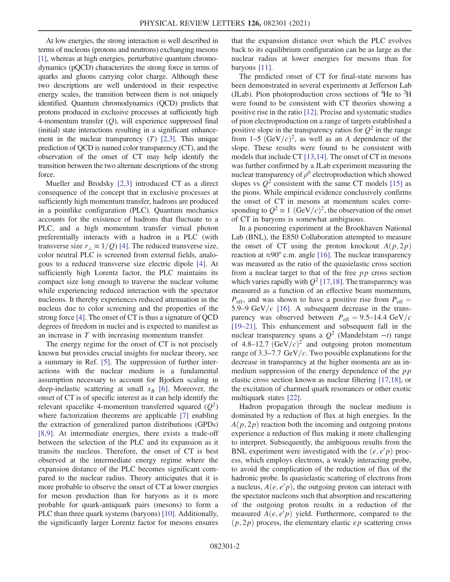At low energies, the strong interaction is well described in terms of nucleons (protons and neutrons) exchanging mesons [\[1\],](#page-4-1) whereas at high energies, perturbative quantum chromodynamics (pQCD) characterizes the strong force in terms of quarks and gluons carrying color charge. Although these two descriptions are well understood in their respective energy scales, the transition between them is not uniquely identified. Quantum chromodynamics (QCD) predicts that protons produced in exclusive processes at sufficiently high 4-momentum transfer  $(Q)$ , will experience suppressed final (initial) state interactions resulting in a significant enhancement in the nuclear transparency  $(T)$  [\[2,3\].](#page-4-2) This unique prediction of QCD is named color transparency (CT), and the observation of the onset of CT may help identify the transition between the two alternate descriptions of the strong force.

Mueller and Brodsky [\[2,3\]](#page-4-2) introduced CT as a direct consequence of the concept that in exclusive processes at sufficiently high momentum transfer, hadrons are produced in a pointlike configuration (PLC). Quantum mechanics accounts for the existence of hadrons that fluctuate to a PLC, and a high momentum transfer virtual photon preferentially interacts with a hadron in a PLC (with transverse size  $r_{\perp} \approx 1/Q$  [\[4\]](#page-5-0). The reduced transverse size, color neutral PLC is screened from external fields, analogous to a reduced transverse size electric dipole [\[4\]](#page-5-0). At sufficiently high Lorentz factor, the PLC maintains its compact size long enough to traverse the nuclear volume while experiencing reduced interaction with the spectator nucleons. It thereby experiences reduced attenuation in the nucleus due to color screening and the properties of the strong force [\[4\].](#page-5-0) The onset of CT is thus a signature of QCD degrees of freedom in nuclei and is expected to manifest as an increase in T with increasing momentum transfer.

The energy regime for the onset of CT is not precisely known but provides crucial insights for nuclear theory, see a summary in Ref. [\[5\].](#page-5-1) The suppression of further interactions with the nuclear medium is a fundamental assumption necessary to account for Bjorken scaling in deep-inelastic scattering at small  $x_B$  [\[6\]](#page-5-2). Moreover, the onset of CT is of specific interest as it can help identify the relevant spacelike 4-momentum transferred squared  $(Q^2)$ where factorization theorems are applicable [\[7\]](#page-5-3) enabling the extraction of generalized parton distributions (GPDs) [\[8,9\].](#page-5-4) At intermediate energies, there exists a trade-off between the selection of the PLC and its expansion as it transits the nucleus. Therefore, the onset of CT is best observed at the intermediate energy regime where the expansion distance of the PLC becomes significant compared to the nuclear radius. Theory anticipates that it is more probable to observe the onset of CT at lower energies for meson production than for baryons as it is more probable for quark-antiquark pairs (mesons) to form a PLC than three quark systems (baryons) [\[10\].](#page-5-5) Additionally, the significantly larger Lorentz factor for mesons ensures that the expansion distance over which the PLC evolves back to its equilibrium configuration can be as large as the nuclear radius at lower energies for mesons than for baryons [\[11\].](#page-5-6)

The predicted onset of CT for final-state mesons has been demonstrated in several experiments at Jefferson Lab (JLab). Pion photoproduction cross sections of <sup>4</sup>He to <sup>2</sup>H were found to be consistent with CT theories showing a positive rise in the ratio [\[12\].](#page-5-7) Precise and systematic studies of pion electroproduction on a range of targets established a positive slope in the transparency ratios for  $Q^2$  in the range from 1–5  $(GeV/c)^2$ , as well as an A dependence of the slope. These results were found to be consistent with models that include CT [\[13,14\]](#page-5-8). The onset of CT in mesons was further confirmed by a JLab experiment measuring the nuclear transparency of  $\rho^0$  electroproduction which showed slopes vs  $Q^2$  consistent with the same CT models [\[15\]](#page-5-9) as the pions. While empirical evidence conclusively confirms the onset of CT in mesons at momentum scales corresponding to  $Q^2 \approx 1 \text{ (GeV/}c)^2$ , the observation of the onset of CT in baryons is somewhat ambiguous.

In a pioneering experiment at the Brookhaven National Lab (BNL), the E850 Collaboration attempted to measure the onset of CT using the proton knockout  $A(p, 2p)$ reaction at  $\approx 90^\circ$  c.m. angle [\[16\]](#page-5-10). The nuclear transparency was measured as the ratio of the quasielastic cross section from a nuclear target to that of the free  $pp$  cross section which varies rapidly with  $Q^2$  [\[17,18\].](#page-5-11) The transparency was measured as a function of an effective beam momentum,  $P_{\text{eff}}$ , and was shown to have a positive rise from  $P_{\text{eff}} =$ 5.9–9 GeV/ $c$  [\[16\]](#page-5-10). A subsequent decrease in the transparency was observed between  $P_{\text{eff}} = 9.5{\text -}14.4 \text{ GeV}/c$ [\[19](#page-5-12)–21]. This enhancement and subsequent fall in the nuclear transparency spans a  $Q^2$  (Mandelstam −t) range of 4.8–12.7  $(GeV/c)^2$  and outgoing proton momentum range of 3.3–7.7 GeV/c. Two possible explanations for the decrease in transparency at the higher momenta are an inmedium suppression of the energy dependence of the  $pp$ elastic cross section known as nuclear filtering [\[17,18\]](#page-5-11), or the excitation of charmed quark resonances or other exotic multiquark states [\[22\]](#page-5-13).

Hadron propagation through the nuclear medium is dominated by a reduction of flux at high energies. In the  $A(p, 2p)$  reaction both the incoming and outgoing protons experience a reduction of flux making it more challenging to interpret. Subsequently, the ambiguous results from the BNL experiment were investigated with the  $(e, e'p)$  process, which employs electrons, a weakly interacting probe, to avoid the complication of the reduction of flux of the hadronic probe. In quasielastic scattering of electrons from a nucleus,  $A(e, e'p)$ , the outgoing proton can interact with the spectator nucleons such that absorption and rescattering of the outgoing proton results in a reduction of the measured  $A(e, e'p)$  yield. Furthermore, compared to the  $(p, 2p)$  process, the elementary elastic *ep* scattering cross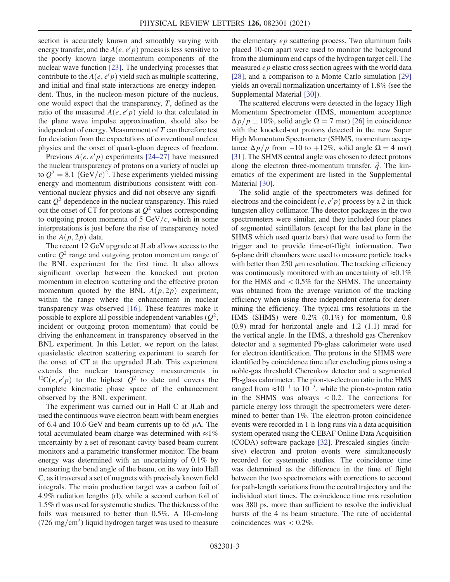section is accurately known and smoothly varying with energy transfer, and the  $A(e, e'p)$  process is less sensitive to the poorly known large momentum components of the nuclear wave function [\[23\]](#page-5-14). The underlying processes that contribute to the  $A(e, e'p)$  yield such as multiple scattering, and initial and final state interactions are energy independent. Thus, in the nucleon-meson picture of the nucleus, one would expect that the transparency, T, defined as the ratio of the measured  $A(e, e'p)$  yield to that calculated in the plane wave impulse approximation, should also be independent of energy. Measurement of  $T$  can therefore test for deviation from the expectations of conventional nuclear physics and the onset of quark-gluon degrees of freedom.

Previous  $A(e, e'p)$  experiments [\[24](#page-5-15)–27] have measured the nuclear transparency of protons on a variety of nuclei up to  $Q^2 = 8.1$  (GeV/c)<sup>2</sup>. These experiments yielded missing energy and momentum distributions consistent with conventional nuclear physics and did not observe any significant  $Q^2$  dependence in the nuclear transparency. This ruled out the onset of CT for protons at  $Q^2$  values corresponding to outgoing proton momenta of 5 GeV/ $c$ , which in some interpretations is just before the rise of transparency noted in the  $A(p, 2p)$  data.

The recent 12 GeV upgrade at JLab allows access to the entire  $Q^2$  range and outgoing proton momentum range of the BNL experiment for the first time. It also allows significant overlap between the knocked out proton momentum in electron scattering and the effective proton momentum quoted by the BNL  $A(p, 2p)$  experiment, within the range where the enhancement in nuclear transparency was observed [\[16\].](#page-5-10) These features make it possible to explore all possible independent variables  $(Q^2,$ incident or outgoing proton momentum) that could be driving the enhancement in transparency observed in the BNL experiment. In this Letter, we report on the latest quasielastic electron scattering experiment to search for the onset of CT at the upgraded JLab. This experiment extends the nuclear transparency measurements in <sup>12</sup>C $(e, e'p)$  to the highest  $Q^2$  to date and covers the complete kinematic phase space of the enhancement observed by the BNL experiment.

The experiment was carried out in Hall C at JLab and used the continuous wave electron beam with beam energies of 6.4 and 10.6 GeV and beam currents up to 65  $\mu$ A. The total accumulated beam charge was determined with  $\approx$ 1% uncertainty by a set of resonant-cavity based beam-current monitors and a parametric transformer monitor. The beam energy was determined with an uncertainty of 0.1% by measuring the bend angle of the beam, on its way into Hall C, as it traversed a set of magnets with precisely known field integrals. The main production target was a carbon foil of 4.9% radiation lengths (rl), while a second carbon foil of 1.5% rl was used for systematic studies. The thickness of the foils was measured to better than 0.5%. A 10-cm-long  $(726 \text{ mg/cm}^2)$  liquid hydrogen target was used to measure the elementary ep scattering process. Two aluminum foils placed 10-cm apart were used to monitor the background from the aluminum end caps of the hydrogen target cell. The measured ep elastic cross section agrees with the world data [\[28\]](#page-5-16), and a comparison to a Monte Carlo simulation [\[29\]](#page-5-17) yields an overall normalization uncertainty of 1.8% (see the Supplemental Material [\[30\]\)](#page-5-18).

The scattered electrons were detected in the legacy High Momentum Spectrometer (HMS, momentum acceptance  $\Delta p/p \pm 10\%$ , solid angle  $\Omega = 7$  msr) [\[26\]](#page-5-19) in coincidence with the knocked-out protons detected in the new Super High Momentum Spectrometer (SHMS, momentum acceptance  $\Delta p/p$  from −10 to +12%, solid angle  $\Omega = 4$  msr) [\[31\]](#page-5-20). The SHMS central angle was chosen to detect protons along the electron three-momentum transfer,  $\vec{q}$ . The kinematics of the experiment are listed in the Supplemental Material [\[30\].](#page-5-18)

The solid angle of the spectrometers was defined for electrons and the coincident  $\overline{(e, e'p)}$  process by a 2-in-thick tungsten alloy collimator. The detector packages in the two spectrometers were similar, and they included four planes of segmented scintillators (except for the last plane in the SHMS which used quartz bars) that were used to form the trigger and to provide time-of-flight information. Two 6-plane drift chambers were used to measure particle tracks with better than  $250 \mu m$  resolution. The tracking efficiency was continuously monitored with an uncertainty of  $\approx 0.1\%$ for the HMS and  $< 0.5\%$  for the SHMS. The uncertainty was obtained from the average variation of the tracking efficiency when using three independent criteria for determining the efficiency. The typical rms resolutions in the HMS (SHMS) were 0.2% (0.1%) for momentum, 0.8 (0.9) mrad for horizontal angle and 1.2 (1.1) mrad for the vertical angle. In the HMS, a threshold gas Cherenkov detector and a segmented Pb-glass calorimeter were used for electron identification. The protons in the SHMS were identified by coincidence time after excluding pions using a noble-gas threshold Cherenkov detector and a segmented Pb-glass calorimeter. The pion-to-electron ratio in the HMS ranged from  $\approx 10^{-1}$  to  $10^{-3}$ , while the pion-to-proton ratio in the SHMS was always  $< 0.2$ . The corrections for particle energy loss through the spectrometers were determined to better than 1%. The electron-proton coincidence events were recorded in 1-h-long runs via a data acquisition system operated using the CEBAF Online Data Acquisition (CODA) software package [\[32\].](#page-5-21) Prescaled singles (inclusive) electron and proton events were simultaneously recorded for systematic studies. The coincidence time was determined as the difference in the time of flight between the two spectrometers with corrections to account for path-length variations from the central trajectory and the individual start times. The coincidence time rms resolution was 380 ps, more than sufficient to resolve the individual bursts of the 4 ns beam structure. The rate of accidental coincidences was  $< 0.2\%$ .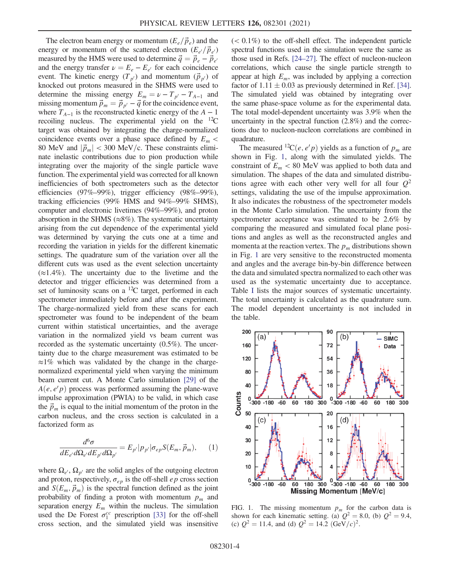The electron beam energy or momentum  $(E_e/\vec{p}_e)$  and the energy or momentum of the scattered electron  $(E_{e'}/\vec{p}_{e'})$ measured by the HMS were used to determine  $\vec{q} = \vec{p}_e - \vec{p}_{e'}$ and the energy transfer  $\nu = E_e - E_{e'}$  for each coincidence event. The kinetic energy  $(T_{p'})$  and momentum  $(\vec{p}_{p'})$  of knocked out protons measured in the SHMS were used to determine the missing energy  $E_m = \nu - T_{p'} - T_{A-1}$  and missing momentum  $\vec{p}_m = \vec{p}_{p'} - \vec{q}$  for the coincidence event, where  $T_{A-1}$  is the reconstructed kinetic energy of the  $A-1$ recoiling nucleus. The experimental yield on the  ${}^{12}C$ target was obtained by integrating the charge-normalized coincidence events over a phase space defined by  $E_m$  < 80 MeV and  $|\vec{p}_m|$  < 300 MeV/c. These constraints eliminate inelastic contributions due to pion production while integrating over the majority of the single particle wave function. The experimental yield was corrected for all known inefficiencies of both spectrometers such as the detector efficiencies (97%–99%), trigger efficiency (98%–99%), tracking efficiencies (99% HMS and 94%–99% SHMS), computer and electronic livetimes (94%–99%), and proton absorption in the SHMS ( $\approx 8\%$ ). The systematic uncertainty arising from the cut dependence of the experimental yield was determined by varying the cuts one at a time and recording the variation in yields for the different kinematic settings. The quadrature sum of the variation over all the different cuts was used as the event selection uncertainty  $(\approx 1.4\%)$ . The uncertainty due to the livetime and the detector and trigger efficiencies was determined from a set of luminosity scans on a <sup>12</sup>C target, performed in each spectrometer immediately before and after the experiment. The charge-normalized yield from these scans for each spectrometer was found to be independent of the beam current within statistical uncertainties, and the average variation in the normalized yield vs beam current was recorded as the systematic uncertainty (0.5%). The uncertainty due to the charge measurement was estimated to be  $\approx$ 1% which was validated by the change in the chargenormalized experimental yield when varying the minimum beam current cut. A Monte Carlo simulation [\[29\]](#page-5-17) of the  $A(e, e'p)$  process was performed assuming the plane-wave impulse approximation (PWIA) to be valid, in which case the  $\vec{p}_m$  is equal to the initial momentum of the proton in the carbon nucleus, and the cross section is calculated in a factorized form as

$$
\frac{d^6\sigma}{dE_{e'}d\Omega_{e'}dE_{p'}d\Omega_{p'}} = E_{p'}|p_{p'}|\sigma_{ep}S(E_m, \vec{p}_m),\qquad(1)
$$

where  $\Omega_{e}$ ,  $\Omega_{p}$  are the solid angles of the outgoing electron and proton, respectively,  $\sigma_{ep}$  is the off-shell ep cross section and  $S(E_m, \vec{p}_m)$  is the spectral function defined as the joint probability of finding a proton with momentum  $p_m$  and separation energy  $E_m$  within the nucleus. The simulation used the De Forest  $\sigma_1^{cc}$  prescription [\[33\]](#page-5-22) for the off-shell cross section, and the simulated yield was insensitive  $(< 0.1\%)$  to the off-shell effect. The independent particle spectral functions used in the simulation were the same as those used in Refs. [24–[27\].](#page-5-15) The effect of nucleon-nucleon correlations, which cause the single particle strength to appear at high  $E_m$ , was included by applying a correction factor of  $1.11 \pm 0.03$  as previously determined in Ref. [\[34\]](#page-5-23). The simulated yield was obtained by integrating over the same phase-space volume as for the experimental data. The total model-dependent uncertainty was 3.9% when the uncertainty in the spectral function (2.8%) and the corrections due to nucleon-nucleon correlations are combined in quadrature.

The measured <sup>12</sup>C(*e*, *e' p*) yields as a function of  $p_m$  are shown in Fig. [1,](#page-3-0) along with the simulated yields. The constraint of  $E_m < 80$  MeV was applied to both data and simulation. The shapes of the data and simulated distributions agree with each other very well for all four  $Q^2$ settings, validating the use of the impulse approximation. It also indicates the robustness of the spectrometer models in the Monte Carlo simulation. The uncertainty from the spectrometer acceptance was estimated to be 2.6% by comparing the measured and simulated focal plane positions and angles as well as the reconstructed angles and momenta at the reaction vertex. The  $p_m$  distributions shown in Fig. [1](#page-3-0) are very sensitive to the reconstructed momenta and angles and the average bin-by-bin difference between the data and simulated spectra normalized to each other was used as the systematic uncertainty due to acceptance. Table [I](#page-4-3) lists the major sources of systematic uncertainty. The total uncertainty is calculated as the quadrature sum. The model dependent uncertainty is not included in the table.

<span id="page-3-0"></span>

FIG. 1. The missing momentum  $p_m$  for the carbon data is shown for each kinematic setting. (a)  $Q^2 = 8.0$ , (b)  $Q^2 = 9.4$ , (c)  $Q^2 = 11.4$ , and (d)  $Q^2 = 14.2$   $(\text{GeV}/c)^2$ .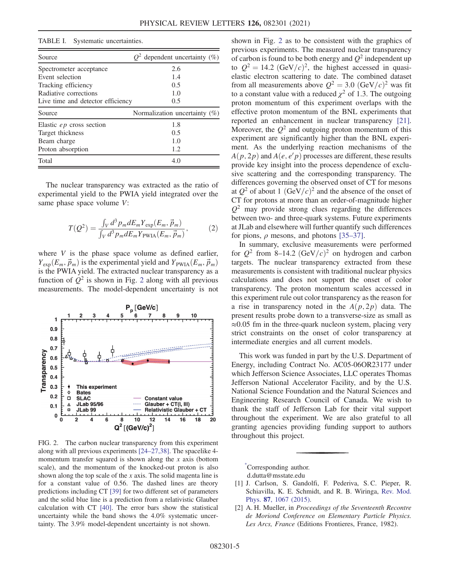## <span id="page-4-3"></span>TABLE I. Systematic uncertainties.

| Source                            | $Q^2$ dependent uncertainty (%)  |
|-----------------------------------|----------------------------------|
| Spectrometer acceptance           | 2.6                              |
| Event selection                   | 1.4                              |
| Tracking efficiency               | 0.5                              |
| Radiative corrections             | 1.0                              |
| Live time and detector efficiency | 0.5                              |
| Source                            | Normalization uncertainty $(\%)$ |
| Elastic $ep$ cross section        | 1.8                              |
| Target thickness                  | 0.5                              |
| Beam charge                       | 1.0                              |
| Proton absorption                 | 1.2                              |
| Total                             | 4.0                              |

The nuclear transparency was extracted as the ratio of experimental yield to the PWIA yield integrated over the same phase space volume V:

$$
T(Q^2) = \frac{\int_V d^3 p_m dE_m Y_{\text{exp}}(E_m, \vec{p}_m)}{\int_V d^3 p_m dE_m Y_{\text{PWIA}}(E_m, \vec{p}_m)},\tag{2}
$$

where  $V$  is the phase space volume as defined earlier,  $Y_{\text{exp}}(E_m, \vec{p}_m)$  is the experimental yield and  $Y_{\text{PWIA}}(E_m, \vec{p}_m)$ is the PWIA yield. The extracted nuclear transparency as a function of  $Q^2$  $Q^2$  is shown in Fig. 2 along with all previous measurements. The model-dependent uncertainty is not

<span id="page-4-4"></span>

FIG. 2. The carbon nuclear transparency from this experiment along with all previous experiments [24–[27,38\]](#page-5-15). The spacelike 4 momentum transfer squared is shown along the  $x$  axis (bottom scale), and the momentum of the knocked-out proton is also shown along the top scale of the x axis. The solid magenta line is for a constant value of 0.56. The dashed lines are theory predictions including CT [\[39\]](#page-5-26) for two different set of parameters and the solid blue line is a prediction from a relativistic Glauber calculation with CT [\[40\].](#page-5-27) The error bars show the statistical uncertainty while the band shows the 4.0% systematic uncertainty. The 3.9% model-dependent uncertainty is not shown.

shown in Fig. [2](#page-4-4) as to be consistent with the graphics of previous experiments. The measured nuclear transparency of carbon is found to be both energy and  $Q^2$  independent up to  $Q^2 = 14.2 \text{ (GeV/}c)^2$ , the highest accessed in quasielastic electron scattering to date. The combined dataset from all measurements above  $Q^2 = 3.0$   $(GeV/c)^2$  was fit to a constant value with a reduced  $\chi^2$  of 1.3. The outgoing proton momentum of this experiment overlaps with the effective proton momentum of the BNL experiments that reported an enhancement in nuclear transparency [\[21\]](#page-5-24). Moreover, the  $Q^2$  and outgoing proton momentum of this experiment are significantly higher than the BNL experiment. As the underlying reaction mechanisms of the  $A(p, 2p)$  and  $A(e, e'p)$  processes are different, these results provide key insight into the process dependence of exclusive scattering and the corresponding transparency. The differences governing the observed onset of CT for mesons at  $Q^2$  of about 1  $(GeV/c)^2$  and the absence of the onset of CT for protons at more than an order-of-magnitude higher  $Q^2$  may provide strong clues regarding the differences between two- and three-quark systems. Future experiments at JLab and elsewhere will further quantify such differences for pions,  $\rho$  mesons, and photons [\[35](#page-5-25)–37].

In summary, exclusive measurements were performed for  $Q^2$  from 8–14.2 (GeV/c)<sup>2</sup> on hydrogen and carbon targets. The nuclear transparency extracted from these measurements is consistent with traditional nuclear physics calculations and does not support the onset of color transparency. The proton momentum scales accessed in this experiment rule out color transparency as the reason for a rise in transparency noted in the  $A(p, 2p)$  data. The present results probe down to a transverse-size as small as  $\approx 0.05$  fm in the three-quark nucleon system, placing very strict constraints on the onset of color transparency at intermediate energies and all current models.

This work was funded in part by the U.S. Department of Energy, including Contract No. AC05-06OR23177 under which Jefferson Science Associates, LLC operates Thomas Jefferson National Accelerator Facility, and by the U.S. National Science Foundation and the Natural Sciences and Engineering Research Council of Canada. We wish to thank the staff of Jefferson Lab for their vital support throughout the experiment. We are also grateful to all granting agencies providing funding support to authors throughout this project.

<span id="page-4-0"></span>[\\*](#page-0-0) Corresponding author.

d.dutta@msstate.edu

- <span id="page-4-1"></span>[1] J. Carlson, S. Gandolfi, F. Pederiva, S. C. Pieper, R. Schiavilla, K. E. Schmidt, and R. B. Wiringa, [Rev. Mod.](https://doi.org/10.1103/RevModPhys.87.1067) Phys. 87[, 1067 \(2015\).](https://doi.org/10.1103/RevModPhys.87.1067)
- <span id="page-4-2"></span>[2] A. H. Mueller, in Proceedings of the Seventeenth Recontre de Moriond Conference on Elementary Particle Physics. Les Arcs, France (Editions Frontieres, France, 1982).